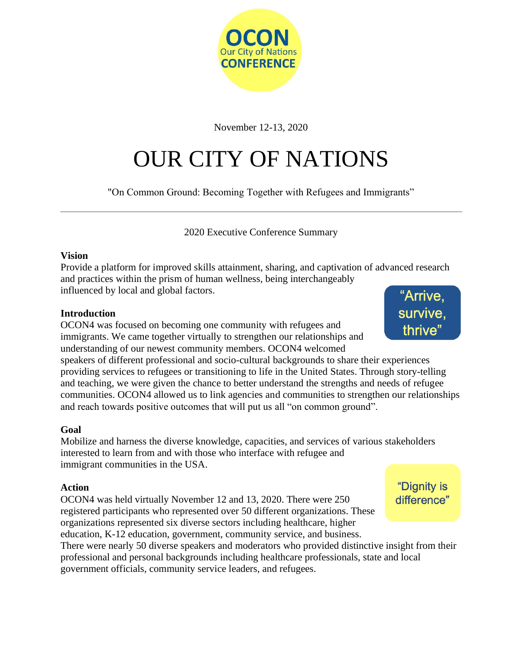

November 12-13, 2020

# OUR CITY OF NATIONS

"On Common Ground: Becoming Together with Refugees and Immigrants"

2020 Executive Conference Summary

#### **Vision**

Provide a platform for improved skills attainment, sharing, and captivation of advanced research and practices within the prism of human wellness, being interchangeably influenced by local and global factors.

#### **Introduction**

OCON4 was focused on becoming one community with refugees and immigrants. We came together virtually to strengthen our relationships and understanding of our newest community members. OCON4 welcomed

speakers of different professional and socio-cultural backgrounds to share their experiences providing services to refugees or transitioning to life in the United States. Through story-telling and teaching, we were given the chance to better understand the strengths and needs of refugee communities. OCON4 allowed us to link agencies and communities to strengthen our relationships and reach towards positive outcomes that will put us all "on common ground".

#### **Goal**

Mobilize and harness the diverse knowledge, capacities, and services of various stakeholders interested to learn from and with those who interface with refugee and immigrant communities in the USA.

#### **Action**

OCON4 was held virtually November 12 and 13, 2020. There were 250 registered participants who represented over 50 different organizations. These organizations represented six diverse sectors including healthcare, higher education, K-12 education, government, community service, and business.

There were nearly 50 diverse speakers and moderators who provided distinctive insight from their professional and personal backgrounds including healthcare professionals, state and local government officials, community service leaders, and refugees.